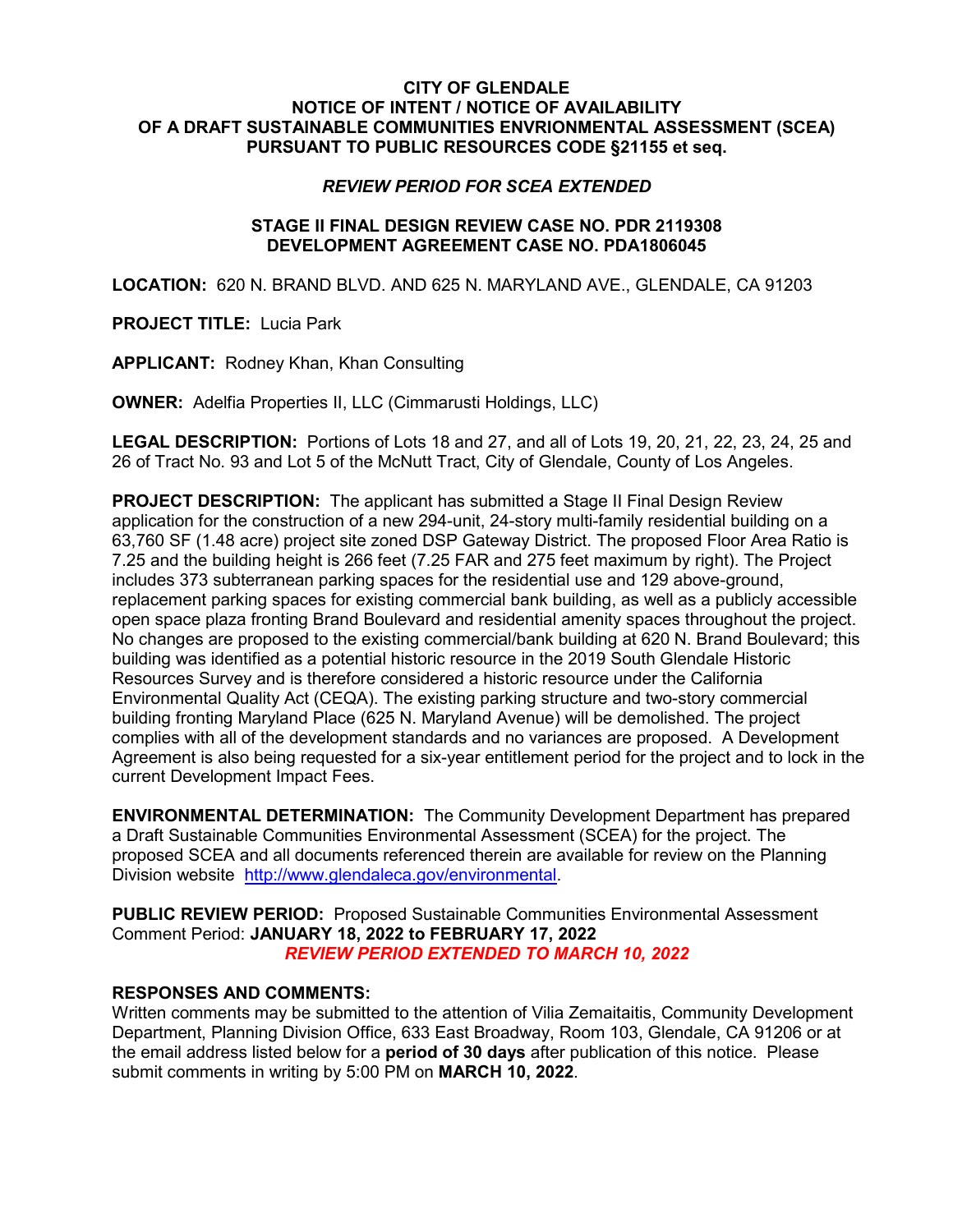## **CITY OF GLENDALE NOTICE OF INTENT / NOTICE OF AVAILABILITY OF A DRAFT SUSTAINABLE COMMUNITIES ENVRIONMENTAL ASSESSMENT (SCEA) PURSUANT TO PUBLIC RESOURCES CODE §21155 et seq.**

## *REVIEW PERIOD FOR SCEA EXTENDED*

## **STAGE II FINAL DESIGN REVIEW CASE NO. PDR 2119308 DEVELOPMENT AGREEMENT CASE NO. PDA1806045**

**LOCATION:** 620 N. BRAND BLVD. AND 625 N. MARYLAND AVE., GLENDALE, CA 91203

**PROJECT TITLE:** Lucia Park

**APPLICANT:** Rodney Khan, Khan Consulting

**OWNER:** Adelfia Properties II, LLC (Cimmarusti Holdings, LLC)

**LEGAL DESCRIPTION:** Portions of Lots 18 and 27, and all of Lots 19, 20, 21, 22, 23, 24, 25 and 26 of Tract No. 93 and Lot 5 of the McNutt Tract, City of Glendale, County of Los Angeles.

**PROJECT DESCRIPTION:** The applicant has submitted a Stage II Final Design Review application for the construction of a new 294-unit, 24-story multi-family residential building on a 63,760 SF (1.48 acre) project site zoned DSP Gateway District. The proposed Floor Area Ratio is 7.25 and the building height is 266 feet (7.25 FAR and 275 feet maximum by right). The Project includes 373 subterranean parking spaces for the residential use and 129 above-ground, replacement parking spaces for existing commercial bank building, as well as a publicly accessible open space plaza fronting Brand Boulevard and residential amenity spaces throughout the project. No changes are proposed to the existing commercial/bank building at 620 N. Brand Boulevard; this building was identified as a potential historic resource in the 2019 South Glendale Historic Resources Survey and is therefore considered a historic resource under the California Environmental Quality Act (CEQA). The existing parking structure and two-story commercial building fronting Maryland Place (625 N. Maryland Avenue) will be demolished. The project complies with all of the development standards and no variances are proposed. A Development Agreement is also being requested for a six-year entitlement period for the project and to lock in the current Development Impact Fees.

**ENVIRONMENTAL DETERMINATION:** The Community Development Department has prepared a Draft Sustainable Communities Environmental Assessment (SCEA) for the project. The proposed SCEA and all documents referenced therein are available for review on the Planning Division website [http://www.glendaleca.gov/environmental.](http://www.glendaleca.gov/government/departments/community-development/planning-division/current-projects/environmental-review)

**PUBLIC REVIEW PERIOD:** Proposed Sustainable Communities Environmental Assessment Comment Period: **JANUARY 18, 2022 to FEBRUARY 17, 2022** *REVIEW PERIOD EXTENDED TO MARCH 10, 2022*

## **RESPONSES AND COMMENTS:**

Written comments may be submitted to the attention of Vilia Zemaitaitis, Community Development Department, Planning Division Office, 633 East Broadway, Room 103, Glendale, CA 91206 or at the email address listed below for a **period of 30 days** after publication of this notice. Please submit comments in writing by 5:00 PM on **MARCH 10, 2022**.